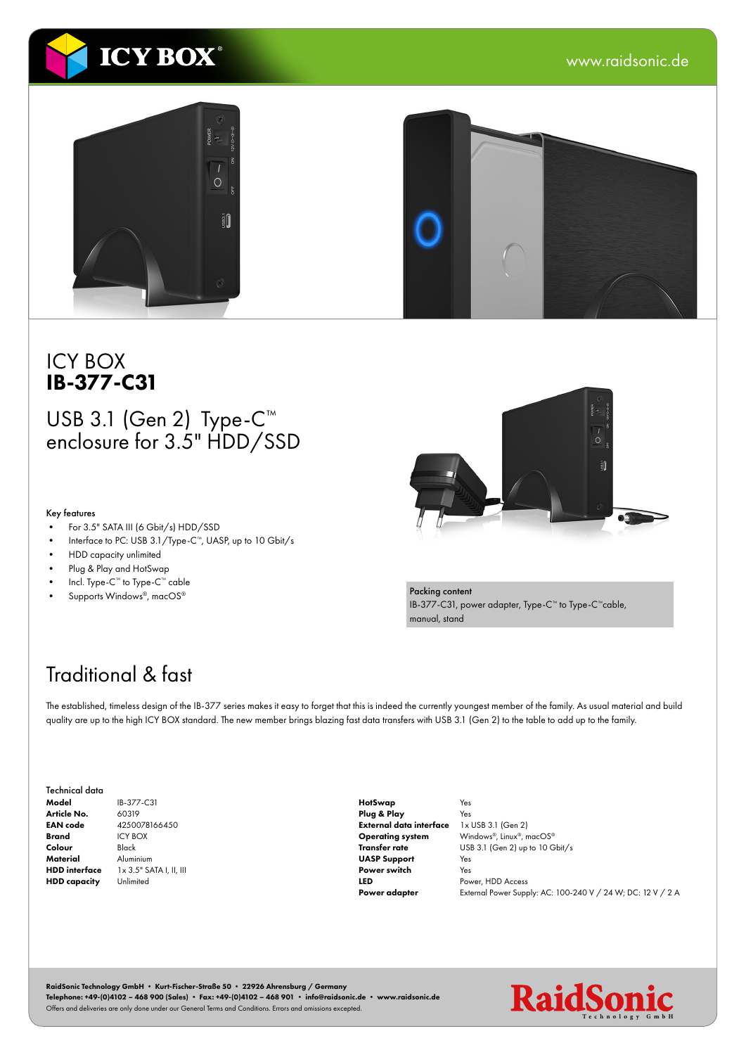

#### ICY BOX IB-377-C31

#### USB 3.1 (Gen 2) Type-C<sup>™</sup> enclosure for 3.5" HDD/SSD

#### Key features

- For 3.5" SATA III (6 Gbit/s) HDD/SSD
- Interface to PC: USB 3.1/Type-C™, UASP, up to 10 Gbit/s
- HDD capacity unlimited
- Plug & Play and HotSwap
- Incl. Type-C™ to Type-C™ cable
- Supports Windows®, macOS®



Packing content IB-377-C31, power adapter, Type-C™ to Type-C™cable, manual, stand

# Traditional & fast

The established, timeless design of the IB-377 series makes it easy to forget that this is indeed the currently youngest member of the family. As usual material and build quality are up to the high ICY BOX standard. The new member brings blazing fast data transfers with USB 3.1 (Gen 2) to the table to add up to the family.

| Technical data       |    |
|----------------------|----|
| Model                | IB |
| Article No.          | 60 |
| <b>EAN</b> code      | 42 |
| Brand                | IC |
| Colour               | Bŀ |
| Material             | Al |
| <b>HDD</b> interface | 1> |
| <b>HDD</b> capacity  | Ur |

IB-377-C31 0319 4250078166450 IY BOX lack Aluminium x 3.5" SATA I, II, III nlimited

HotSwap Plug & Play External data interface Operating system Transfer rate UASP Support Power switch LED Power adapter

Yes Yes 1x USB 3.1 (Gen 2) Windows®, Linux®, macOS® USB 3.1 (Gen 2) up to 10 Gbit/s Yes Yes Power, HDD Access External Power Supply: AC: 100-240 V / 24 W; DC: 12 V / 2 A